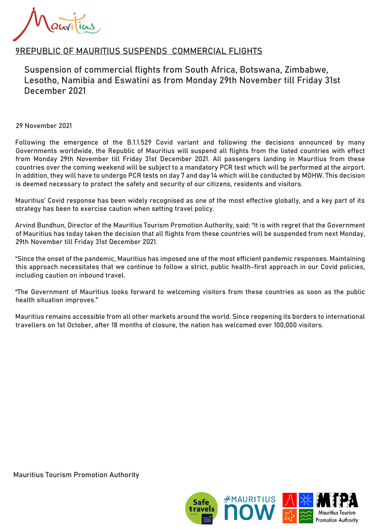## 9REPUBLIC OF MAURITIUS SUSPENDS COMMERCIAL FLIGHTS

Suspension of commercial flights from South Africa, Botswana, Zimbabwe, Lesotho, Namibia and Eswatini as from Monday 29th November till Friday 31st December 2021

29 November 2021

Following the emergence of the B.1.1.529 Covid variant and following the decisions announced by many Governments worldwide, the Republic of Mauritius will suspend all flights from the listed countries with effect from Monday 29th November till Friday 31st December 2021. All passengers landing in Mauritius from these countries over the coming weekend will be subject to a mandatory PCR test which will be performed at the airport. In addition, they will have to undergo PCR tests on day 7 and day 14 which will be conducted by MOHW. This decision is deemed necessary to protect the safety and security of our citizens, residents and visitors.

Mauritius' Covid response has been widely recognised as one of the most effective globally, and a key part of its strategy has been to exercise caution when setting travel policy.

Arvind Bundhun, Director of the Mauritius Tourism Promotion Authority, said: "It is with regret that the Government of Mauritius has today taken the decision that all flights from these countries will be suspended from next Monday, 29th November till Friday 31st December 2021.

"Since the onset of the pandemic, Mauritius has imposed one of the most efficient pandemic responses. Maintaining this approach necessitates that we continue to follow a strict, public health-first approach in our Covid policies, including caution on inbound travel.

"The Government of Mauritius looks forward to welcoming visitors from these countries as soon as the public health situation improves."

Mauritius remains accessible from all other markets around the world. Since reopening its borders to international travellers on 1st October, after 18 months of closure, the nation has welcomed over 100,000 visitors.

Mauritius Tourism Promotion Authority